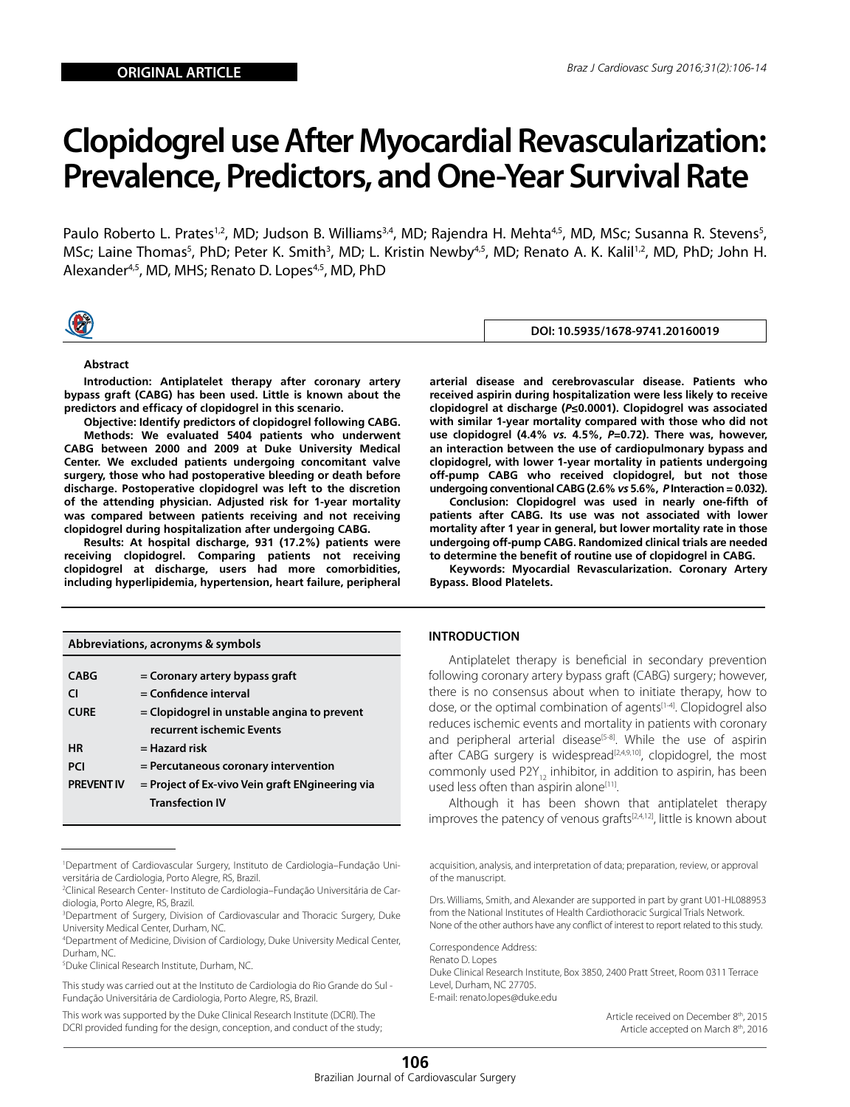# **Clopidogrel use After Myocardial Revascularization: Prevalence, Predictors, and One-Year Survival Rate**

Paulo Roberto L. Prates<sup>1,2</sup>, MD; Judson B. Williams<sup>3,4</sup>, MD; Rajendra H. Mehta<sup>4,5</sup>, MD, MSc; Susanna R. Stevens<sup>5</sup>, MSc; Laine Thomas<sup>5</sup>, PhD; Peter K. Smith<sup>3</sup>, MD; L. Kristin Newby<sup>4,5</sup>, MD; Renato A. K. Kalil<sup>1,2</sup>, MD, PhD; John H. Alexander<sup>4,5</sup>, MD, MHS; Renato D. Lopes<sup>4,5</sup>, MD, PhD



## **DOI: 10.5935/1678-9741.20160019**

#### **Abstract**

**Introduction: Antiplatelet therapy after coronary artery bypass graft (CABG) has been used. Little is known about the predictors and efficacy of clopidogrel in this scenario.** 

**Objective: Identify predictors of clopidogrel following CABG. Methods: We evaluated 5404 patients who underwent CABG between 2000 and 2009 at Duke University Medical Center. We excluded patients undergoing concomitant valve surgery, those who had postoperative bleeding or death before discharge. Postoperative clopidogrel was left to the discretion of the attending physician. Adjusted risk for 1-year mortality** 

**was compared between patients receiving and not receiving clopidogrel during hospitalization after undergoing CABG. Results: At hospital discharge, 931 (17.2%) patients were receiving clopidogrel. Comparing patients not receiving clopidogrel at discharge, users had more comorbidities, including hyperlipidemia, hypertension, heart failure, peripheral** 

| Abbreviations, acronyms & symbols |                                                 |  |  |
|-----------------------------------|-------------------------------------------------|--|--|
|                                   |                                                 |  |  |
| <b>CABG</b>                       | = Coronary artery bypass graft                  |  |  |
| CI                                | $=$ Confidence interval                         |  |  |
| <b>CURE</b>                       | $=$ Clopidogrel in unstable angina to prevent   |  |  |
|                                   | recurrent ischemic Events                       |  |  |
| <b>HR</b>                         | $=$ Hazard risk                                 |  |  |
| <b>PCI</b>                        | = Percutaneous coronary intervention            |  |  |
| <b>PREVENT IV</b>                 | = Project of Ex-vivo Vein graft ENgineering via |  |  |
|                                   | <b>Transfection IV</b>                          |  |  |

<sup>1</sup> Department of Cardiovascular Surgery, Instituto de Cardiologia–Fundação Universitária de Cardiologia, Porto Alegre, RS, Brazil.

5 Duke Clinical Research Institute, Durham, NC.

This study was carried out at the Instituto de Cardiologia do Rio Grande do Sul - Fundação Universitária de Cardiologia, Porto Alegre, RS, Brazil.

This work was supported by the Duke Clinical Research Institute (DCRI). The DCRI provided funding for the design, conception, and conduct of the study;

**arterial disease and cerebrovascular disease. Patients who received aspirin during hospitalization were less likely to receive clopidogrel at discharge (***P***≤0.0001). Clopidogrel was associated with similar 1-year mortality compared with those who did not use clopidogrel (4.4%** *vs.* **4.5%,** *P***=0.72). There was, however, an interaction between the use of cardiopulmonary bypass and clopidogrel, with lower 1-year mortality in patients undergoing off-pump CABG who received clopidogrel, but not those undergoing conventional CABG (2.6%** *vs* **5.6%,** *P* **Interaction = 0.032).** 

**Conclusion: Clopidogrel was used in nearly one-fifth of patients after CABG. Its use was not associated with lower mortality after 1 year in general, but lower mortality rate in those undergoing off-pump CABG. Randomized clinical trials are needed to determine the benefit of routine use of clopidogrel in CABG.**

**Keywords: Myocardial Revascularization. Coronary Artery Bypass. Blood Platelets.** 

## **INTRODUCTION**

Antiplatelet therapy is beneficial in secondary prevention following coronary artery bypass graft (CABG) surgery; however, there is no consensus about when to initiate therapy, how to dose, or the optimal combination of agents<sup>[1-4]</sup>. Clopidogrel also reduces ischemic events and mortality in patients with coronary and peripheral arterial disease<sup>[5-8]</sup>. While the use of aspirin after CABG surgery is widespread<sup>[2,4,9,10]</sup>, clopidogrel, the most commonly used P2Y<sub>12</sub> inhibitor, in addition to aspirin, has been used less often than aspirin alone<sup>[11]</sup>.

Although it has been shown that antiplatelet therapy improves the patency of venous grafts $[2,4,12]$ , little is known about

acquisition, analysis, and interpretation of data; preparation, review, or approval of the manuscript.

Drs. Williams, Smith, and Alexander are supported in part by grant U01-HL088953 from the National Institutes of Health Cardiothoracic Surgical Trials Network. None of the other authors have any conflict of interest to report related to this study.

Correspondence Address: Renato D. Lopes Duke Clinical Research Institute, Box 3850, 2400 Pratt Street, Room 0311 Terrace Level, Durham, NC 27705. E-mail: renato.lopes@duke.edu

> Article received on December 8th, 2015 Article accepted on March 8th, 2016

<sup>2</sup> Clinical Research Center- Instituto de Cardiologia–Fundação Universitária de Cardiologia, Porto Alegre, RS, Brazil.

<sup>3</sup> Department of Surgery, Division of Cardiovascular and Thoracic Surgery, Duke University Medical Center, Durham, NC.

<sup>4</sup> Department of Medicine, Division of Cardiology, Duke University Medical Center, Durham, NC.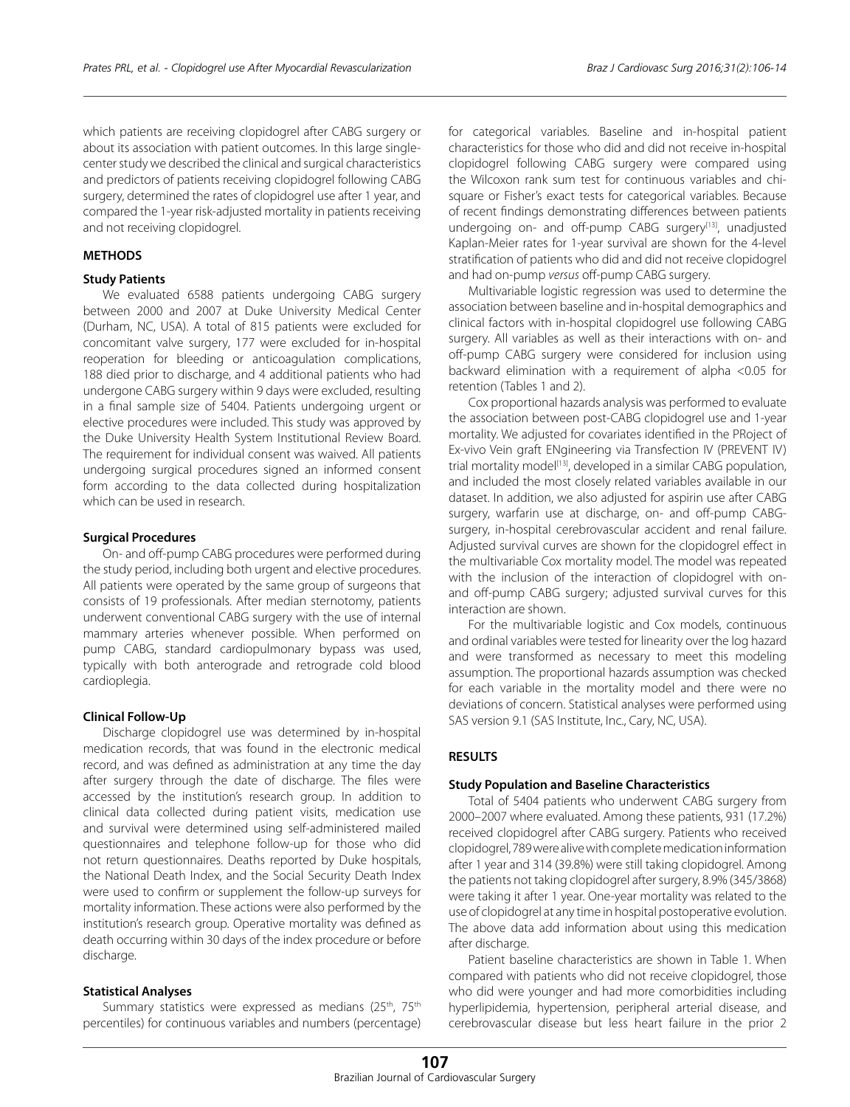which patients are receiving clopidogrel after CABG surgery or about its association with patient outcomes. In this large singlecenter study we described the clinical and surgical characteristics and predictors of patients receiving clopidogrel following CABG surgery, determined the rates of clopidogrel use after 1 year, and compared the 1-year risk-adjusted mortality in patients receiving and not receiving clopidogrel.

## **METHODS**

#### **Study Patients**

We evaluated 6588 patients undergoing CABG surgery between 2000 and 2007 at Duke University Medical Center (Durham, NC, USA). A total of 815 patients were excluded for concomitant valve surgery, 177 were excluded for in-hospital reoperation for bleeding or anticoagulation complications, 188 died prior to discharge, and 4 additional patients who had undergone CABG surgery within 9 days were excluded, resulting in a final sample size of 5404. Patients undergoing urgent or elective procedures were included. This study was approved by the Duke University Health System Institutional Review Board. The requirement for individual consent was waived. All patients undergoing surgical procedures signed an informed consent form according to the data collected during hospitalization which can be used in research.

#### **Surgical Procedures**

On- and off-pump CABG procedures were performed during the study period, including both urgent and elective procedures. All patients were operated by the same group of surgeons that consists of 19 professionals. After median sternotomy, patients underwent conventional CABG surgery with the use of internal mammary arteries whenever possible. When performed on pump CABG, standard cardiopulmonary bypass was used, typically with both anterograde and retrograde cold blood cardioplegia.

#### **Clinical Follow-Up**

Discharge clopidogrel use was determined by in-hospital medication records, that was found in the electronic medical record, and was defined as administration at any time the day after surgery through the date of discharge. The files were accessed by the institution's research group. In addition to clinical data collected during patient visits, medication use and survival were determined using self-administered mailed questionnaires and telephone follow-up for those who did not return questionnaires. Deaths reported by Duke hospitals, the National Death Index, and the Social Security Death Index were used to confirm or supplement the follow-up surveys for mortality information. These actions were also performed by the institution's research group. Operative mortality was defined as death occurring within 30 days of the index procedure or before discharge.

#### **Statistical Analyses**

Summary statistics were expressed as medians (25<sup>th</sup>, 75<sup>th</sup> percentiles) for continuous variables and numbers (percentage) for categorical variables. Baseline and in-hospital patient characteristics for those who did and did not receive in-hospital clopidogrel following CABG surgery were compared using the Wilcoxon rank sum test for continuous variables and chisquare or Fisher's exact tests for categorical variables. Because of recent findings demonstrating differences between patients undergoing on- and off-pump CABG surgery<sup>[13]</sup>, unadjusted Kaplan-Meier rates for 1-year survival are shown for the 4-level stratification of patients who did and did not receive clopidogrel and had on-pump *versus* off-pump CABG surgery.

Multivariable logistic regression was used to determine the association between baseline and in-hospital demographics and clinical factors with in-hospital clopidogrel use following CABG surgery. All variables as well as their interactions with on- and off-pump CABG surgery were considered for inclusion using backward elimination with a requirement of alpha <0.05 for retention (Tables 1 and 2).

Cox proportional hazards analysis was performed to evaluate the association between post-CABG clopidogrel use and 1-year mortality. We adjusted for covariates identified in the PRoject of Ex-vivo Vein graft ENgineering via Transfection IV (PREVENT IV) trial mortality model<sup>[13]</sup>, developed in a similar CABG population, and included the most closely related variables available in our dataset. In addition, we also adjusted for aspirin use after CABG surgery, warfarin use at discharge, on- and off-pump CABGsurgery, in-hospital cerebrovascular accident and renal failure. Adjusted survival curves are shown for the clopidogrel effect in the multivariable Cox mortality model. The model was repeated with the inclusion of the interaction of clopidogrel with onand off-pump CABG surgery; adjusted survival curves for this interaction are shown.

For the multivariable logistic and Cox models, continuous and ordinal variables were tested for linearity over the log hazard and were transformed as necessary to meet this modeling assumption. The proportional hazards assumption was checked for each variable in the mortality model and there were no deviations of concern. Statistical analyses were performed using SAS version 9.1 (SAS Institute, Inc., Cary, NC, USA).

## **RESULTS**

#### **Study Population and Baseline Characteristics**

Total of 5404 patients who underwent CABG surgery from 2000–2007 where evaluated. Among these patients, 931 (17.2%) received clopidogrel after CABG surgery. Patients who received clopidogrel, 789 were alive with complete medication information after 1 year and 314 (39.8%) were still taking clopidogrel. Among the patients not taking clopidogrel after surgery, 8.9% (345/3868) were taking it after 1 year. One-year mortality was related to the use of clopidogrel at any time in hospital postoperative evolution. The above data add information about using this medication after discharge.

Patient baseline characteristics are shown in Table 1. When compared with patients who did not receive clopidogrel, those who did were younger and had more comorbidities including hyperlipidemia, hypertension, peripheral arterial disease, and cerebrovascular disease but less heart failure in the prior 2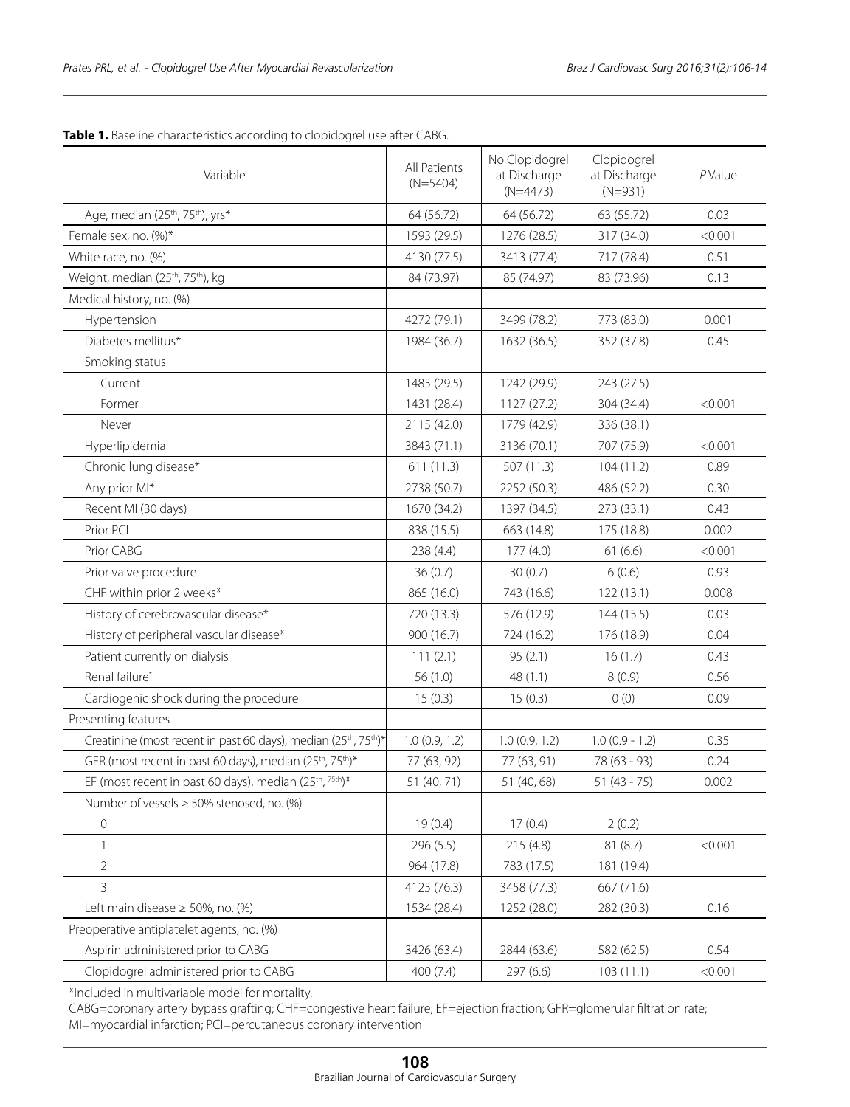| Variable                                                                                 | All Patients<br>$(N=5404)$ | No Clopidogrel<br>at Discharge<br>$(N=4473)$ | Clopidogrel<br>at Discharge<br>$(N=931)$ | PValue  |
|------------------------------------------------------------------------------------------|----------------------------|----------------------------------------------|------------------------------------------|---------|
| Age, median (25 <sup>th</sup> , 75 <sup>th</sup> ), yrs*                                 | 64 (56.72)                 | 64 (56.72)                                   | 63 (55.72)                               | 0.03    |
| Female sex, no. (%)*                                                                     | 1593 (29.5)                | 1276 (28.5)                                  | 317 (34.0)                               | < 0.001 |
| White race, no. (%)                                                                      | 4130 (77.5)                | 3413 (77.4)                                  | 717 (78.4)                               | 0.51    |
| Weight, median (25 <sup>th</sup> , 75 <sup>th</sup> ), kg                                | 84 (73.97)                 | 85 (74.97)                                   | 83 (73.96)                               | 0.13    |
| Medical history, no. (%)                                                                 |                            |                                              |                                          |         |
| Hypertension                                                                             | 4272 (79.1)                | 3499 (78.2)                                  | 773 (83.0)                               | 0.001   |
| Diabetes mellitus*                                                                       | 1984 (36.7)                | 1632 (36.5)                                  | 352 (37.8)                               | 0.45    |
| Smoking status                                                                           |                            |                                              |                                          |         |
| Current                                                                                  | 1485 (29.5)                | 1242 (29.9)                                  | 243 (27.5)                               |         |
| Former                                                                                   | 1431 (28.4)                | 1127 (27.2)                                  | 304 (34.4)                               | < 0.001 |
| Never                                                                                    | 2115 (42.0)                | 1779 (42.9)                                  | 336 (38.1)                               |         |
| Hyperlipidemia                                                                           | 3843 (71.1)                | 3136 (70.1)                                  | 707 (75.9)                               | < 0.001 |
| Chronic lung disease*                                                                    | 611(11.3)                  | 507 (11.3)                                   | 104(11.2)                                | 0.89    |
| Any prior MI*                                                                            | 2738 (50.7)                | 2252 (50.3)                                  | 486 (52.2)                               | 0.30    |
| Recent MI (30 days)                                                                      | 1670 (34.2)                | 1397 (34.5)                                  | 273 (33.1)                               | 0.43    |
| Prior PCI                                                                                | 838 (15.5)                 | 663 (14.8)                                   | 175 (18.8)                               | 0.002   |
| Prior CABG                                                                               | 238 (4.4)                  | 177 (4.0)                                    | 61(6.6)                                  | < 0.001 |
| Prior valve procedure                                                                    | 36(0.7)                    | 30(0.7)                                      | 6(0.6)                                   | 0.93    |
| CHF within prior 2 weeks*                                                                | 865 (16.0)                 | 743 (16.6)                                   | 122 (13.1)                               | 0.008   |
| History of cerebrovascular disease*                                                      | 720 (13.3)                 | 576 (12.9)                                   | 144 (15.5)                               | 0.03    |
| History of peripheral vascular disease*                                                  | 900 (16.7)                 | 724 (16.2)                                   | 176 (18.9)                               | 0.04    |
| Patient currently on dialysis                                                            | 111(2.1)                   | 95(2.1)                                      | 16(1.7)                                  | 0.43    |
| Renal failure*                                                                           | 56 (1.0)                   | 48(1.1)                                      | 8(0.9)                                   | 0.56    |
| Cardiogenic shock during the procedure                                                   | 15(0.3)                    | 15(0.3)                                      | 0(0)                                     | 0.09    |
| Presenting features                                                                      |                            |                                              |                                          |         |
| Creatinine (most recent in past 60 days), median (25 <sup>th</sup> , 75 <sup>th</sup> )* | 1.0(0.9, 1.2)              | 1.0(0.9, 1.2)                                | $1.0(0.9 - 1.2)$                         | 0.35    |
| GFR (most recent in past 60 days), median (25 <sup>th</sup> , 75 <sup>th</sup> )*        | 77 (63, 92)                | 77 (63, 91)                                  | 78 (63 - 93)                             | 0.24    |
| EF (most recent in past 60 days), median (25 <sup>th</sup> , <sup>75th</sup> )*          | 51 (40, 71)                | 51 (40, 68)                                  | $51(43 - 75)$                            | 0.002   |
| Number of vessels $\geq$ 50% stenosed, no. (%)                                           |                            |                                              |                                          |         |
| $\mathbf 0$                                                                              | 19(0.4)                    | 17(0.4)                                      | 2(0.2)                                   |         |
| 1                                                                                        | 296 (5.5)                  | 215 (4.8)                                    | 81 (8.7)                                 | < 0.001 |
| $\sqrt{2}$                                                                               | 964 (17.8)                 | 783 (17.5)                                   | 181 (19.4)                               |         |
| 3                                                                                        | 4125 (76.3)                | 3458 (77.3)                                  | 667 (71.6)                               |         |
| Left main disease $\geq$ 50%, no. (%)                                                    | 1534 (28.4)                | 1252 (28.0)                                  | 282 (30.3)                               | 0.16    |
| Preoperative antiplatelet agents, no. (%)                                                |                            |                                              |                                          |         |
| Aspirin administered prior to CABG                                                       | 3426 (63.4)                | 2844 (63.6)                                  | 582 (62.5)                               | 0.54    |
| Clopidogrel administered prior to CABG                                                   | 400 (7.4)                  | 297 (6.6)                                    | 103 (11.1)                               | < 0.001 |

**Table 1.** Baseline characteristics according to clopidogrel use after CABG.

\*Included in multivariable model for mortality.

CABG=coronary artery bypass grafting; CHF=congestive heart failure; EF=ejection fraction; GFR=glomerular filtration rate; MI=myocardial infarction; PCI=percutaneous coronary intervention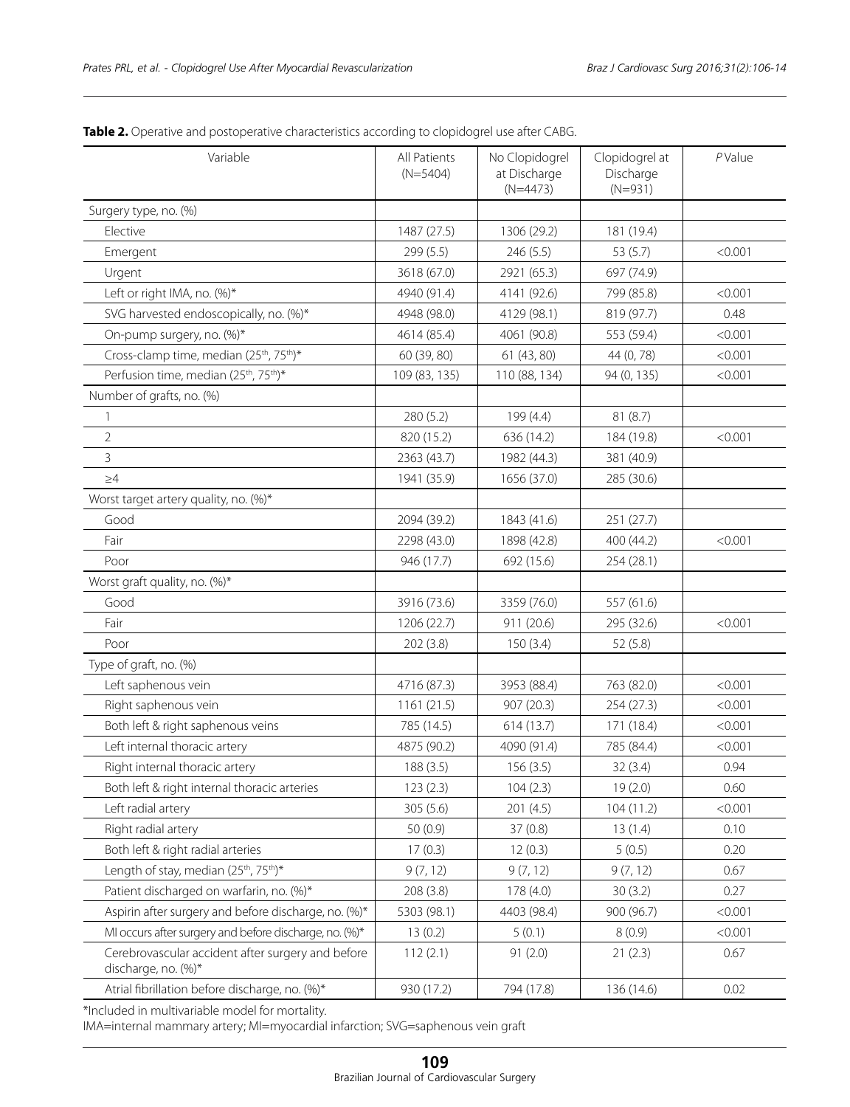| Variable                                                                 | All Patients<br>$(N=5404)$ | No Clopidogrel<br>at Discharge<br>$(N=4473)$ | Clopidogrel at<br>Discharge<br>$(N=931)$ | $P$ Value |
|--------------------------------------------------------------------------|----------------------------|----------------------------------------------|------------------------------------------|-----------|
| Surgery type, no. (%)                                                    |                            |                                              |                                          |           |
| Elective                                                                 | 1487 (27.5)                | 1306 (29.2)                                  | 181 (19.4)                               |           |
| Emergent                                                                 | 299 (5.5)                  | 246 (5.5)                                    | 53 (5.7)                                 | < 0.001   |
| Urgent                                                                   | 3618 (67.0)                | 2921 (65.3)                                  | 697 (74.9)                               |           |
| Left or right IMA, no. (%)*                                              | 4940 (91.4)                | 4141 (92.6)                                  | 799 (85.8)                               | < 0.001   |
| SVG harvested endoscopically, no. (%)*                                   | 4948 (98.0)                | 4129 (98.1)                                  | 819 (97.7)                               | 0.48      |
| On-pump surgery, no. (%)*                                                | 4614 (85.4)                | 4061 (90.8)                                  | 553 (59.4)                               | < 0.001   |
| Cross-clamp time, median (25th, 75th)*                                   | 60 (39, 80)                | 61 (43, 80)                                  | 44 (0,78)                                | < 0.001   |
| Perfusion time, median (25 <sup>th</sup> , 75 <sup>th</sup> )*           | 109 (83, 135)              | 110 (88, 134)                                | 94 (0, 135)                              | < 0.001   |
| Number of grafts, no. (%)                                                |                            |                                              |                                          |           |
| 1                                                                        | 280 (5.2)                  | 199 (4.4)                                    | 81(8.7)                                  |           |
| 2                                                                        | 820 (15.2)                 | 636 (14.2)                                   | 184 (19.8)                               | < 0.001   |
| 3                                                                        | 2363 (43.7)                | 1982 (44.3)                                  | 381 (40.9)                               |           |
| $\geq 4$                                                                 | 1941 (35.9)                | 1656 (37.0)                                  | 285 (30.6)                               |           |
| Worst target artery quality, no. (%)*                                    |                            |                                              |                                          |           |
| Good                                                                     | 2094 (39.2)                | 1843 (41.6)                                  | 251 (27.7)                               |           |
| Fair                                                                     | 2298 (43.0)                | 1898 (42.8)                                  | 400 (44.2)                               | < 0.001   |
| Poor                                                                     | 946 (17.7)                 | 692 (15.6)                                   | 254 (28.1)                               |           |
| Worst graft quality, no. (%)*                                            |                            |                                              |                                          |           |
| Good                                                                     | 3916 (73.6)                | 3359 (76.0)                                  | 557 (61.6)                               |           |
| Fair                                                                     | 1206 (22.7)                | 911 (20.6)                                   | 295 (32.6)                               | < 0.001   |
| Poor                                                                     | 202 (3.8)                  | 150(3.4)                                     | 52(5.8)                                  |           |
| Type of graft, no. (%)                                                   |                            |                                              |                                          |           |
| Left saphenous vein                                                      | 4716 (87.3)                | 3953 (88.4)                                  | 763 (82.0)                               | < 0.001   |
| Right saphenous vein                                                     | 1161 (21.5)                | 907 (20.3)                                   | 254 (27.3)                               | < 0.001   |
| Both left & right saphenous veins                                        | 785 (14.5)                 | 614 (13.7)                                   | 171 (18.4)                               | < 0.001   |
| Left internal thoracic artery                                            | 4875 (90.2)                | 4090 (91.4)                                  | 785 (84.4)                               | < 0.001   |
| Right internal thoracic artery                                           | 188 (3.5)                  | 156(3.5)                                     | 32(3.4)                                  | 0.94      |
| Both left & right internal thoracic arteries                             | 123(2.3)                   | 104(2.3)                                     | 19(2.0)                                  | 0.60      |
| Left radial artery                                                       | 305 (5.6)                  | 201 (4.5)                                    | 104(11.2)                                | < 0.001   |
| Right radial artery                                                      | 50 (0.9)                   | 37(0.8)                                      | 13(1.4)                                  | 0.10      |
| Both left & right radial arteries                                        | 17(0.3)                    | 12(0.3)                                      | 5(0.5)                                   | 0.20      |
| Length of stay, median (25 <sup>th</sup> , 75 <sup>th</sup> )*           | 9(7, 12)                   | 9(7, 12)                                     | 9(7, 12)                                 | 0.67      |
| Patient discharged on warfarin, no. (%)*                                 | 208 (3.8)                  | 178 (4.0)                                    | 30(3.2)                                  | 0.27      |
| Aspirin after surgery and before discharge, no. (%)*                     | 5303 (98.1)                | 4403 (98.4)                                  | 900 (96.7)                               | < 0.001   |
| MI occurs after surgery and before discharge, no. (%)*                   | 13(0.2)                    | 5(0.1)                                       | 8(0.9)                                   | < 0.001   |
| Cerebrovascular accident after surgery and before<br>discharge, no. (%)* | 112(2.1)                   | 91(2.0)                                      | 21(2.3)                                  | 0.67      |
| Atrial fibrillation before discharge, no. (%)*                           | 930 (17.2)                 | 794 (17.8)                                   | 136 (14.6)                               | 0.02      |

Table 2. Operative and postoperative characteristics according to clopidogrel use after CABG.

\*Included in multivariable model for mortality.

IMA=internal mammary artery; MI=myocardial infarction; SVG=saphenous vein graft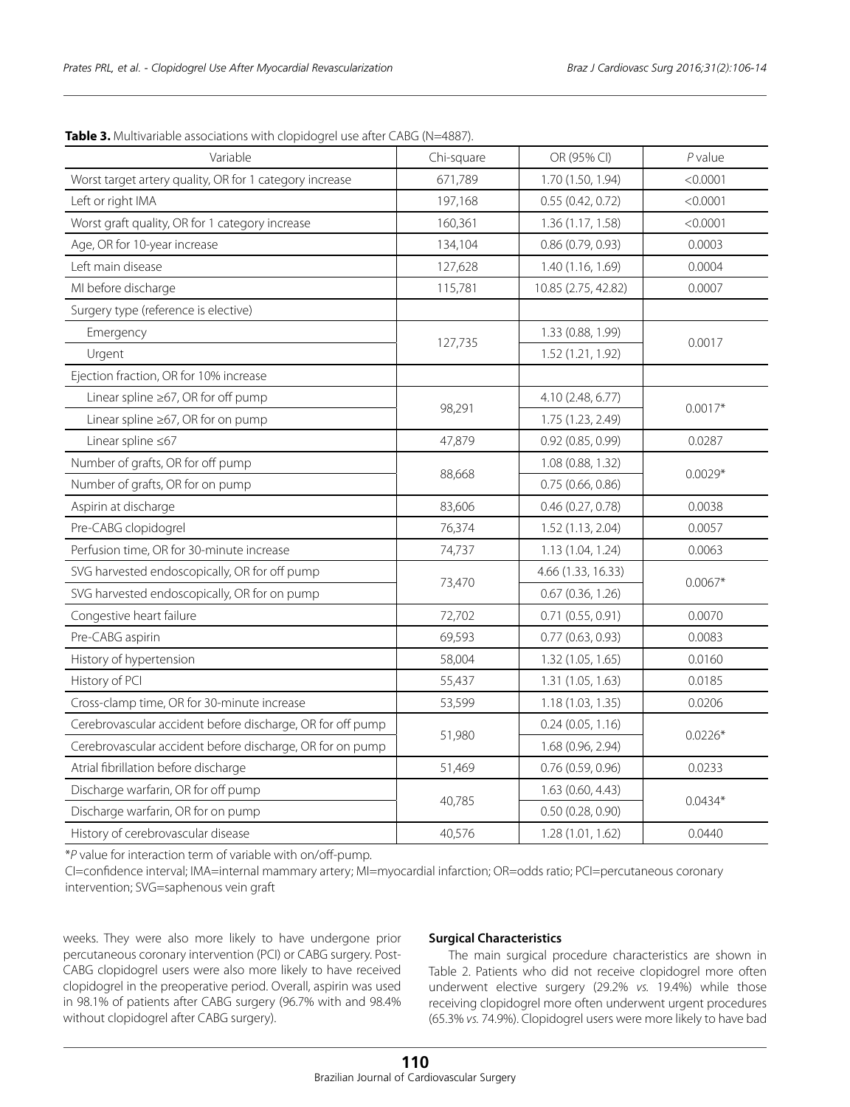| Variable                                                   | Chi-square | OR (95% CI)         | $P$ value |  |
|------------------------------------------------------------|------------|---------------------|-----------|--|
| Worst target artery quality, OR for 1 category increase    | 671,789    | 1.70 (1.50, 1.94)   | < 0.0001  |  |
| Left or right IMA                                          | 197,168    | 0.55(0.42, 0.72)    | < 0.0001  |  |
| Worst graft quality, OR for 1 category increase            | 160,361    | 1.36 (1.17, 1.58)   | < 0.0001  |  |
| Age, OR for 10-year increase                               | 134,104    | 0.86(0.79, 0.93)    | 0.0003    |  |
| Left main disease                                          | 127,628    | 1.40 (1.16, 1.69)   | 0.0004    |  |
| MI before discharge                                        | 115,781    | 10.85 (2.75, 42.82) | 0.0007    |  |
| Surgery type (reference is elective)                       |            |                     |           |  |
| Emergency                                                  |            | 1.33 (0.88, 1.99)   |           |  |
| Urgent                                                     | 127,735    | 1.52 (1.21, 1.92)   | 0.0017    |  |
| Ejection fraction, OR for 10% increase                     |            |                     |           |  |
| Linear spline ≥67, OR for off pump                         |            | 4.10 (2.48, 6.77)   |           |  |
| Linear spline ≥67, OR for on pump                          | 98,291     | 1.75 (1.23, 2.49)   | $0.0017*$ |  |
| Linear spline $\leq 67$                                    | 47,879     | 0.92(0.85, 0.99)    | 0.0287    |  |
| Number of grafts, OR for off pump                          |            | 1.08 (0.88, 1.32)   |           |  |
| Number of grafts, OR for on pump                           | 88,668     | 0.75(0.66, 0.86)    | $0.0029*$ |  |
| Aspirin at discharge                                       | 83,606     | 0.46 (0.27, 0.78)   | 0.0038    |  |
| Pre-CABG clopidogrel                                       | 76,374     | 1.52 (1.13, 2.04)   | 0.0057    |  |
| Perfusion time, OR for 30-minute increase                  | 74,737     | 1.13 (1.04, 1.24)   | 0.0063    |  |
| SVG harvested endoscopically, OR for off pump              |            | 4.66 (1.33, 16.33)  |           |  |
| SVG harvested endoscopically, OR for on pump               | 73,470     | 0.67 (0.36, 1.26)   | $0.0067*$ |  |
| Congestive heart failure                                   | 72,702     | 0.71(0.55, 0.91)    | 0.0070    |  |
| Pre-CABG aspirin                                           | 69,593     | 0.77(0.63, 0.93)    | 0.0083    |  |
| History of hypertension                                    | 58,004     | 1.32 (1.05, 1.65)   | 0.0160    |  |
| History of PCI                                             | 55,437     | 1.31 (1.05, 1.63)   | 0.0185    |  |
| Cross-clamp time, OR for 30-minute increase                | 53,599     | 1.18 (1.03, 1.35)   | 0.0206    |  |
| Cerebrovascular accident before discharge, OR for off pump |            | 0.24(0.05, 1.16)    |           |  |
| Cerebrovascular accident before discharge, OR for on pump  | 51,980     | 1.68 (0.96, 2.94)   | $0.0226*$ |  |
| Atrial fibrillation before discharge                       | 51,469     | 0.76(0.59, 0.96)    | 0.0233    |  |
| Discharge warfarin, OR for off pump                        |            | 1.63 (0.60, 4.43)   | $0.0434*$ |  |
| Discharge warfarin, OR for on pump                         | 40,785     | 0.50(0.28, 0.90)    |           |  |
| History of cerebrovascular disease                         | 40,576     | 1.28 (1.01, 1.62)   | 0.0440    |  |

**Table 3.** Multivariable associations with clopidogrel use after CABG (N=4887).

\**P* value for interaction term of variable with on/off-pump.

CI=confidence interval; IMA=internal mammary artery; MI=myocardial infarction; OR=odds ratio; PCI=percutaneous coronary intervention; SVG=saphenous vein graft

weeks. They were also more likely to have undergone prior percutaneous coronary intervention (PCI) or CABG surgery. Post-CABG clopidogrel users were also more likely to have received clopidogrel in the preoperative period. Overall, aspirin was used in 98.1% of patients after CABG surgery (96.7% with and 98.4% without clopidogrel after CABG surgery).

# **Surgical Characteristics**

The main surgical procedure characteristics are shown in Table 2. Patients who did not receive clopidogrel more often underwent elective surgery (29.2% *vs.* 19.4%) while those receiving clopidogrel more often underwent urgent procedures (65.3% *vs.* 74.9%). Clopidogrel users were more likely to have bad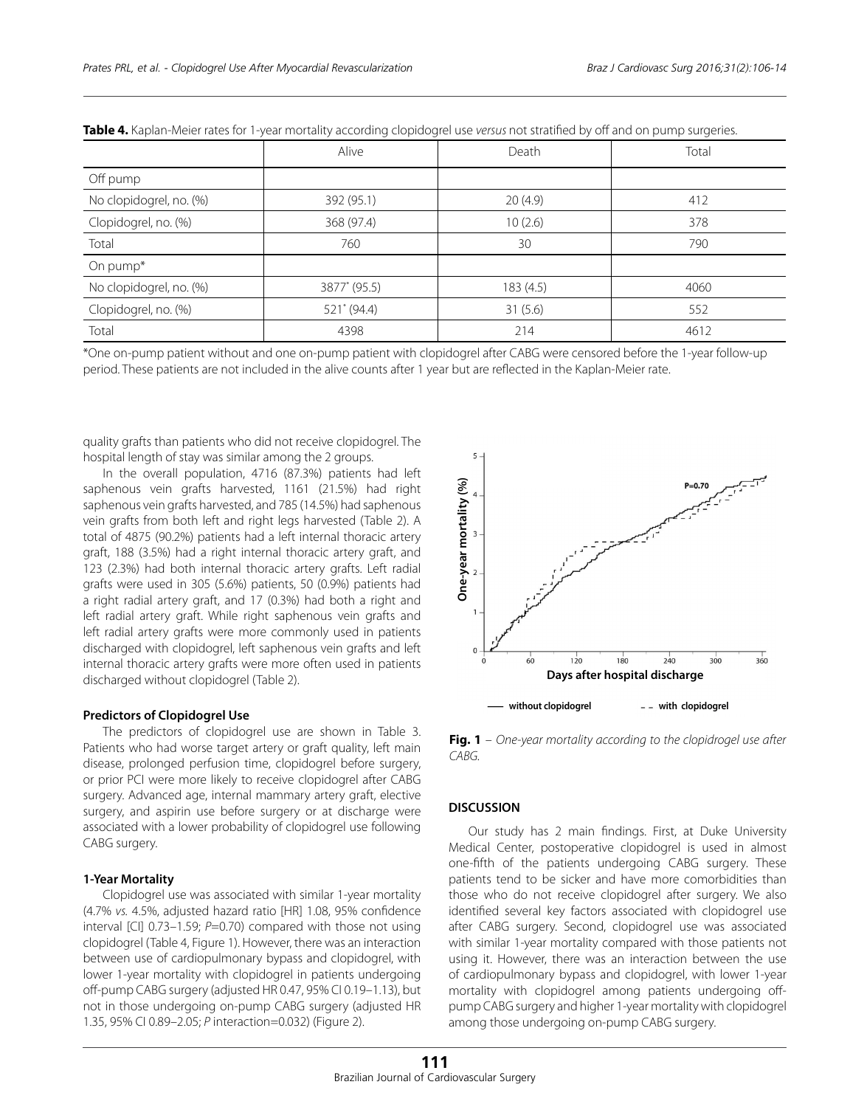|                         | Alive        | Death    | Total |
|-------------------------|--------------|----------|-------|
| Off pump                |              |          |       |
| No clopidogrel, no. (%) | 392 (95.1)   | 20(4.9)  | 412   |
| Clopidogrel, no. (%)    | 368 (97.4)   | 10(2.6)  | 378   |
| Total                   | 760          | 30       | 790   |
| On pump*                |              |          |       |
| No clopidogrel, no. (%) | 3877* (95.5) | 183(4.5) | 4060  |
| Clopidogrel, no. (%)    | 521* (94.4)  | 31(5.6)  | 552   |
| Total                   | 4398         | 214      | 4612  |

|  |  |  | Table 4. Kaplan-Meier rates for 1-year mortality according clopidogrel use versus not stratified by off and on pump surgeries |  |
|--|--|--|-------------------------------------------------------------------------------------------------------------------------------|--|
|--|--|--|-------------------------------------------------------------------------------------------------------------------------------|--|

\*One on-pump patient without and one on-pump patient with clopidogrel after CABG were censored before the 1-year follow-up period. These patients are not included in the alive counts after 1 year but are reflected in the Kaplan-Meier rate.

quality grafts than patients who did not receive clopidogrel. The hospital length of stay was similar among the 2 groups.

In the overall population, 4716 (87.3%) patients had left saphenous vein grafts harvested, 1161 (21.5%) had right saphenous vein grafts harvested, and 785 (14.5%) had saphenous vein grafts from both left and right legs harvested (Table 2). A total of 4875 (90.2%) patients had a left internal thoracic artery graft, 188 (3.5%) had a right internal thoracic artery graft, and 123 (2.3%) had both internal thoracic artery grafts. Left radial grafts were used in 305 (5.6%) patients, 50 (0.9%) patients had a right radial artery graft, and 17 (0.3%) had both a right and left radial artery graft. While right saphenous vein grafts and left radial artery grafts were more commonly used in patients discharged with clopidogrel, left saphenous vein grafts and left internal thoracic artery grafts were more often used in patients discharged without clopidogrel (Table 2).

# **Predictors of Clopidogrel Use**

The predictors of clopidogrel use are shown in Table 3. Patients who had worse target artery or graft quality, left main disease, prolonged perfusion time, clopidogrel before surgery, or prior PCI were more likely to receive clopidogrel after CABG surgery. Advanced age, internal mammary artery graft, elective surgery, and aspirin use before surgery or at discharge were associated with a lower probability of clopidogrel use following CABG surgery.

# **1-Year Mortality**

Clopidogrel use was associated with similar 1-year mortality (4.7% *vs.* 4.5%, adjusted hazard ratio [HR] 1.08, 95% confidence interval [CI] 0.73-1.59; *P*=0.70) compared with those not using clopidogrel (Table 4, Figure 1). However, there was an interaction between use of cardiopulmonary bypass and clopidogrel, with lower 1-year mortality with clopidogrel in patients undergoing off-pump CABG surgery (adjusted HR 0.47, 95% CI 0.19–1.13), but not in those undergoing on-pump CABG surgery (adjusted HR 1.35, 95% CI 0.89–2.05; *P* interaction=0.032) (Figure 2).



**Fig. 1** – *One-year mortality according to the clopidrogel use after*  CABG.

# **DISCUSSION**

Our study has 2 main findings. First, at Duke University Medical Center, postoperative clopidogrel is used in almost one-fifth of the patients undergoing CABG surgery. These patients tend to be sicker and have more comorbidities than those who do not receive clopidogrel after surgery. We also identified several key factors associated with clopidogrel use after CABG surgery. Second, clopidogrel use was associated with similar 1-year mortality compared with those patients not using it. However, there was an interaction between the use of cardiopulmonary bypass and clopidogrel, with lower 1-year mortality with clopidogrel among patients undergoing offpump CABG surgery and higher 1-year mortality with clopidogrel among those undergoing on-pump CABG surgery.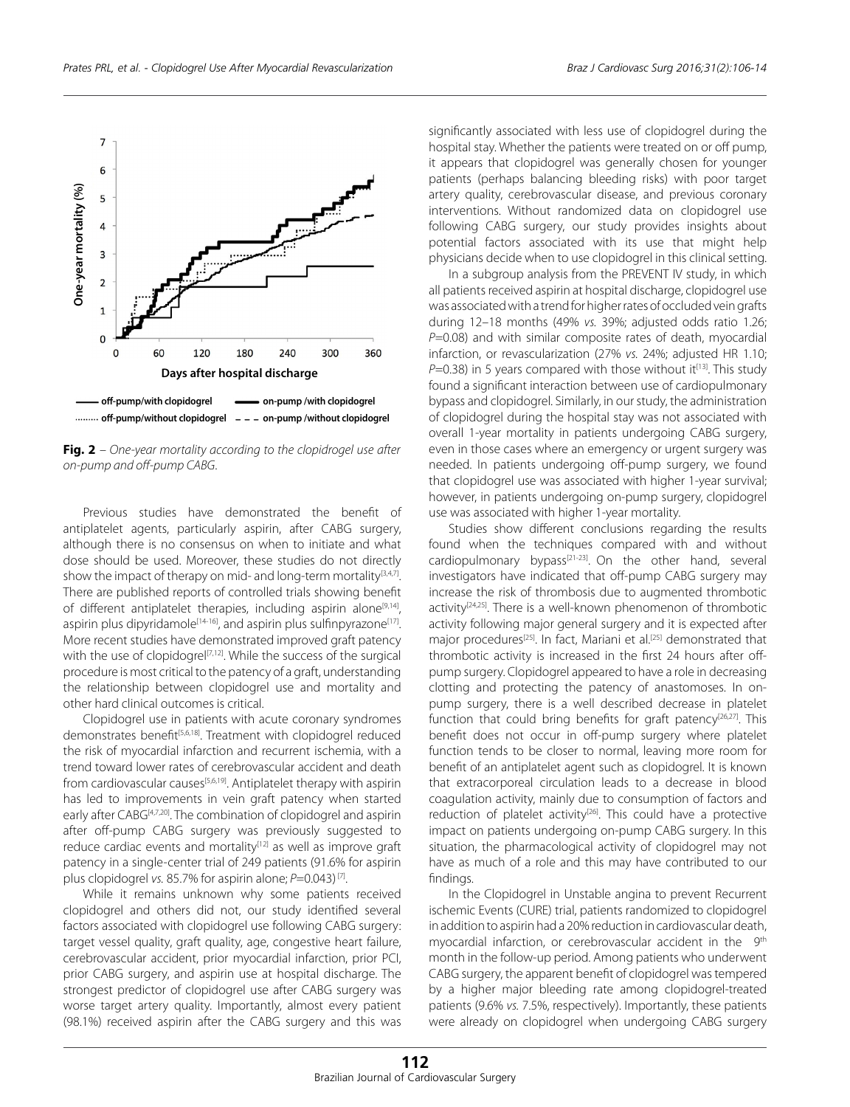

**Fig. 2** – *One-year mortality according to the clopidrogel use after on-pump and off-pump CABG*.

Previous studies have demonstrated the benefit of antiplatelet agents, particularly aspirin, after CABG surgery, although there is no consensus on when to initiate and what dose should be used. Moreover, these studies do not directly show the impact of therapy on mid- and long-term mortality $[3,4,7]$ . There are published reports of controlled trials showing benefit of different antiplatelet therapies, including aspirin alone<sup>[9,14]</sup>, aspirin plus dipyridamole<sup>[14-16]</sup>, and aspirin plus sulfinpyrazone<sup>[17]</sup>. More recent studies have demonstrated improved graft patency with the use of clopidogrel<sup>[7,12]</sup>. While the success of the surgical procedure is most critical to the patency of a graft, understanding the relationship between clopidogrel use and mortality and other hard clinical outcomes is critical.

Clopidogrel use in patients with acute coronary syndromes demonstrates benefit<sup>[5,6,18]</sup>. Treatment with clopidogrel reduced the risk of myocardial infarction and recurrent ischemia, with a trend toward lower rates of cerebrovascular accident and death from cardiovascular causes<sup>[5,6,19]</sup>. Antiplatelet therapy with aspirin has led to improvements in vein graft patency when started early after CABG<sup>[4,7,20]</sup>. The combination of clopidogrel and aspirin after off-pump CABG surgery was previously suggested to reduce cardiac events and mortality<sup>[12]</sup> as well as improve graft patency in a single-center trial of 249 patients (91.6% for aspirin plus clopidogrel *vs.* 85.7% for aspirin alone; *P*=0.043) [7].

While it remains unknown why some patients received clopidogrel and others did not, our study identified several factors associated with clopidogrel use following CABG surgery: target vessel quality, graft quality, age, congestive heart failure, cerebrovascular accident, prior myocardial infarction, prior PCI, prior CABG surgery, and aspirin use at hospital discharge. The strongest predictor of clopidogrel use after CABG surgery was worse target artery quality. Importantly, almost every patient (98.1%) received aspirin after the CABG surgery and this was

significantly associated with less use of clopidogrel during the hospital stay. Whether the patients were treated on or off pump, it appears that clopidogrel was generally chosen for younger patients (perhaps balancing bleeding risks) with poor target artery quality, cerebrovascular disease, and previous coronary interventions. Without randomized data on clopidogrel use following CABG surgery, our study provides insights about potential factors associated with its use that might help physicians decide when to use clopidogrel in this clinical setting.

In a subgroup analysis from the PREVENT IV study, in which all patients received aspirin at hospital discharge, clopidogrel use was associated with a trend for higher rates of occluded vein grafts during 12–18 months (49% *vs.* 39%; adjusted odds ratio 1.26; *P*=0.08) and with similar composite rates of death, myocardial infarction, or revascularization (27% *vs.* 24%; adjusted HR 1.10;  $P=0.38$ ) in 5 years compared with those without it<sup>[13]</sup>. This study found a significant interaction between use of cardiopulmonary bypass and clopidogrel. Similarly, in our study, the administration of clopidogrel during the hospital stay was not associated with overall 1-year mortality in patients undergoing CABG surgery, even in those cases where an emergency or urgent surgery was needed. In patients undergoing off-pump surgery, we found that clopidogrel use was associated with higher 1-year survival; however, in patients undergoing on-pump surgery, clopidogrel use was associated with higher 1-year mortality.

Studies show different conclusions regarding the results found when the techniques compared with and without cardiopulmonary bypass<sup>[21-23]</sup>. On the other hand, several investigators have indicated that off-pump CABG surgery may increase the risk of thrombosis due to augmented thrombotic activity<sup>[24,25]</sup>. There is a well-known phenomenon of thrombotic activity following major general surgery and it is expected after major procedures<sup>[25]</sup>. In fact, Mariani et al.<sup>[25]</sup> demonstrated that thrombotic activity is increased in the first 24 hours after offpump surgery. Clopidogrel appeared to have a role in decreasing clotting and protecting the patency of anastomoses. In onpump surgery, there is a well described decrease in platelet function that could bring benefits for graft patency<sup>[26,27]</sup>. This benefit does not occur in off-pump surgery where platelet function tends to be closer to normal, leaving more room for benefit of an antiplatelet agent such as clopidogrel. It is known that extracorporeal circulation leads to a decrease in blood coagulation activity, mainly due to consumption of factors and reduction of platelet activity<sup>[26]</sup>. This could have a protective impact on patients undergoing on-pump CABG surgery. In this situation, the pharmacological activity of clopidogrel may not have as much of a role and this may have contributed to our findings.

In the Clopidogrel in Unstable angina to prevent Recurrent ischemic Events (CURE) trial, patients randomized to clopidogrel in addition to aspirin had a 20% reduction in cardiovascular death, myocardial infarction, or cerebrovascular accident in the 9<sup>th</sup> month in the follow-up period. Among patients who underwent CABG surgery, the apparent benefit of clopidogrel was tempered by a higher major bleeding rate among clopidogrel-treated patients (9.6% *vs.* 7.5%, respectively). Importantly, these patients were already on clopidogrel when undergoing CABG surgery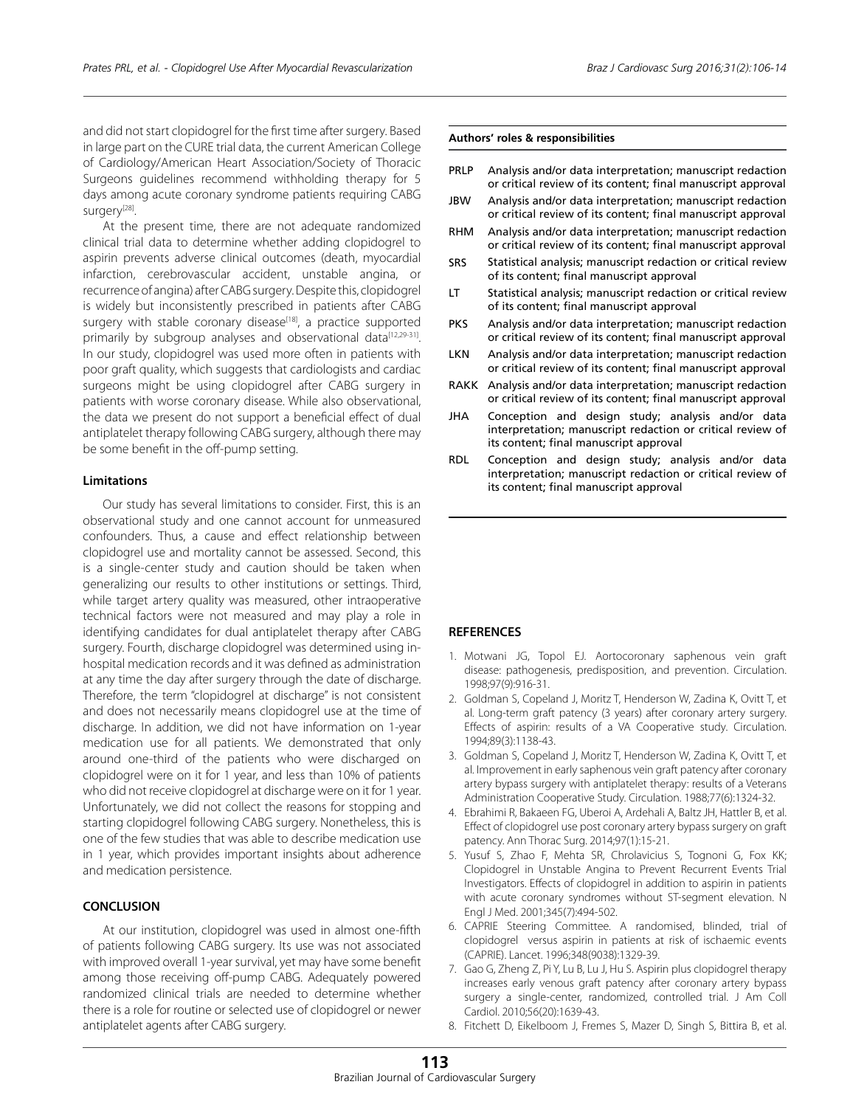and did not start clopidogrel for the first time after surgery. Based in large part on the CURE trial data, the current American College of Cardiology/American Heart Association/Society of Thoracic Surgeons guidelines recommend withholding therapy for 5 days among acute coronary syndrome patients requiring CABG surgery<sup>[28]</sup>.

At the present time, there are not adequate randomized clinical trial data to determine whether adding clopidogrel to aspirin prevents adverse clinical outcomes (death, myocardial infarction, cerebrovascular accident, unstable angina, or recurrence of angina) after CABG surgery. Despite this, clopidogrel is widely but inconsistently prescribed in patients after CABG surgery with stable coronary disease<sup>[18]</sup>, a practice supported primarily by subgroup analyses and observational data<sup>[12,29-31]</sup>. In our study, clopidogrel was used more often in patients with poor graft quality, which suggests that cardiologists and cardiac surgeons might be using clopidogrel after CABG surgery in patients with worse coronary disease. While also observational, the data we present do not support a beneficial effect of dual antiplatelet therapy following CABG surgery, although there may be some benefit in the off-pump setting.

## **Limitations**

Our study has several limitations to consider. First, this is an observational study and one cannot account for unmeasured confounders. Thus, a cause and effect relationship between clopidogrel use and mortality cannot be assessed. Second, this is a single-center study and caution should be taken when generalizing our results to other institutions or settings. Third, while target artery quality was measured, other intraoperative technical factors were not measured and may play a role in identifying candidates for dual antiplatelet therapy after CABG surgery. Fourth, discharge clopidogrel was determined using inhospital medication records and it was defined as administration at any time the day after surgery through the date of discharge. Therefore, the term "clopidogrel at discharge" is not consistent and does not necessarily means clopidogrel use at the time of discharge. In addition, we did not have information on 1-year medication use for all patients. We demonstrated that only around one-third of the patients who were discharged on clopidogrel were on it for 1 year, and less than 10% of patients who did not receive clopidogrel at discharge were on it for 1 year. Unfortunately, we did not collect the reasons for stopping and starting clopidogrel following CABG surgery. Nonetheless, this is one of the few studies that was able to describe medication use in 1 year, which provides important insights about adherence and medication persistence.

## **CONCLUSION**

At our institution, clopidogrel was used in almost one-fifth of patients following CABG surgery. Its use was not associated with improved overall 1-year survival, yet may have some benefit among those receiving off-pump CABG. Adequately powered randomized clinical trials are needed to determine whether there is a role for routine or selected use of clopidogrel or newer antiplatelet agents after CABG surgery.

#### **Authors' roles & responsibilities**

- PRLP Analysis and/or data interpretation; manuscript redaction or critical review of its content; final manuscript approval
- JBW Analysis and/or data interpretation; manuscript redaction or critical review of its content; final manuscript approval
- RHM Analysis and/or data interpretation; manuscript redaction or critical review of its content; final manuscript approval
- SRS Statistical analysis; manuscript redaction or critical review of its content; final manuscript approval
- LT Statistical analysis; manuscript redaction or critical review of its content; final manuscript approval
- PKS Analysis and/or data interpretation; manuscript redaction or critical review of its content; final manuscript approval
- **LKN** Analysis and/or data interpretation; manuscript redaction or critical review of its content; final manuscript approval
- RAKK Analysis and/or data interpretation; manuscript redaction or critical review of its content; final manuscript approval
- JHA Conception and design study; analysis and/or data interpretation; manuscript redaction or critical review of its content; final manuscript approval
- RDL Conception and design study; analysis and/or data interpretation; manuscript redaction or critical review of its content; final manuscript approval

#### **REFERENCES**

- 1. Motwani JG, Topol EJ. Aortocoronary saphenous vein graft disease: pathogenesis, predisposition, and prevention. Circulation. 1998;97(9):916-31.
- 2. Goldman S, Copeland J, Moritz T, Henderson W, Zadina K, Ovitt T, et al. Long-term graft patency (3 years) after coronary artery surgery. Effects of aspirin: results of a VA Cooperative study. Circulation. 1994;89(3):1138-43.
- 3. Goldman S, Copeland J, Moritz T, Henderson W, Zadina K, Ovitt T, et al. Improvement in early saphenous vein graft patency after coronary artery bypass surgery with antiplatelet therapy: results of a Veterans Administration Cooperative Study. Circulation. 1988;77(6):1324-32.
- 4. Ebrahimi R, Bakaeen FG, Uberoi A, Ardehali A, Baltz JH, Hattler B, et al. Effect of clopidogrel use post coronary artery bypass surgery on graft patency. Ann Thorac Surg. 2014;97(1):15-21.
- 5. Yusuf S, Zhao F, Mehta SR, Chrolavicius S, Tognoni G, Fox KK; Clopidogrel in Unstable Angina to Prevent Recurrent Events Trial Investigators. Effects of clopidogrel in addition to aspirin in patients with acute coronary syndromes without ST-segment elevation. N Engl J Med. 2001;345(7):494-502.
- 6. CAPRIE Steering Committee. A randomised, blinded, trial of clopidogrel versus aspirin in patients at risk of ischaemic events (CAPRIE). Lancet. 1996;348(9038):1329-39.
- 7. Gao G, Zheng Z, Pi Y, Lu B, Lu J, Hu S. Aspirin plus clopidogrel therapy increases early venous graft patency after coronary artery bypass surgery a single-center, randomized, controlled trial. J Am Coll Cardiol. 2010;56(20):1639-43.
- 8. Fitchett D, Eikelboom J, Fremes S, Mazer D, Singh S, Bittira B, et al.